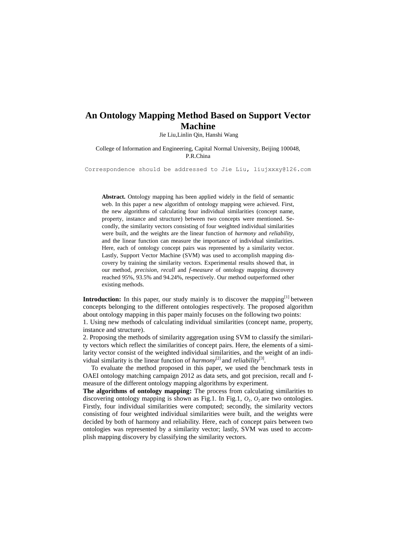## **An Ontology Mapping Method Based on Support Vector Machine**

Jie Liu,Linlin Qin, Hanshi Wang

College of Information and Engineering, Capital Normal University, Beijing 100048, P.R.China

Correspondence should be addressed to Jie Liu, [liujxxxy@126.com](mailto:liujxxxy@126.com)

**Abstract.** Ontology mapping has been applied widely in the field of semantic web. In this paper a new algorithm of ontology mapping were achieved. First, the new algorithms of calculating four individual similarities (concept name, property, instance and structure) between two concepts were mentioned. Secondly, the similarity vectors consisting of four weighted individual similarities were built, and the weights are the linear function of *harmony* and *reliability*, and the linear function can measure the importance of individual similarities. Here, each of ontology concept pairs was represented by a similarity vector. Lastly, Support Vector Machine (SVM) was used to accomplish mapping discovery by training the similarity vectors. Experimental results showed that, in our method, *precision*, *recall* and *f-measure* of ontology mapping discovery reached 95%, 93.5% and 94.24%, respectively. Our method outperformed other existing methods.

**Introduction:** In this paper, our study mainly is to discover the mapping<sup>[1]</sup> between concepts belonging to the different ontologies respectively. The proposed algorithm about ontology mapping in this paper mainly focuses on the following two points:

1. Using new methods of calculating individual similarities (concept name, property, instance and structure).

2. Proposing the methods of similarity aggregation using SVM to classify the similarity vectors which reflect the similarities of concept pairs. Here, the elements of a similarity vector consist of the weighted individual similarities, and the weight of an individual similarity is the linear function of  $harmony^{[2]}$  and *reliability*<sup>[3]</sup>.

 To evaluate the method proposed in this paper, we used the benchmark tests in OAEI ontology matching campaign 2012 as data sets, and got precision, recall and fmeasure of the different ontology mapping algorithms by experiment.

**The algorithms of ontology mapping:** The process from calculating similarities to discovering ontology mapping is shown as Fig.1. In Fig.1,  $O<sub>1</sub>$ ,  $O<sub>2</sub>$  are two ontologies. Firstly, four individual similarities were computed; secondly, the similarity vectors consisting of four weighted individual similarities were built, and the weights were decided by both of harmony and reliability. Here, each of concept pairs between two ontologies was represented by a similarity vector; lastly, SVM was used to accomplish mapping discovery by classifying the similarity vectors.